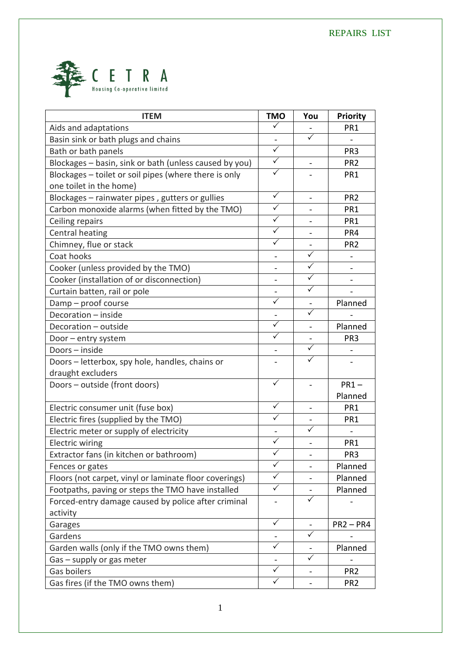

| <b>ITEM</b>                                            | <b>TMO</b>              | You                     | <b>Priority</b>              |
|--------------------------------------------------------|-------------------------|-------------------------|------------------------------|
| Aids and adaptations                                   | $\checkmark$            |                         | PR <sub>1</sub>              |
| Basin sink or bath plugs and chains                    | $\blacksquare$          | $\overline{\checkmark}$ | $\blacksquare$               |
| Bath or bath panels                                    | $\sqrt{}$               |                         | PR <sub>3</sub>              |
| Blockages - basin, sink or bath (unless caused by you) | $\sqrt{}$               |                         | PR <sub>2</sub>              |
| Blockages - toilet or soil pipes (where there is only  | $\sqrt{}$               |                         | PR <sub>1</sub>              |
| one toilet in the home)                                |                         |                         |                              |
| Blockages - rainwater pipes, gutters or gullies        | $\checkmark$            |                         | PR <sub>2</sub>              |
| Carbon monoxide alarms (when fitted by the TMO)        | $\checkmark$            |                         | PR <sub>1</sub>              |
| Ceiling repairs                                        | $\sqrt{}$               |                         | PR <sub>1</sub>              |
| Central heating                                        | $\checkmark$            |                         | PR4                          |
| Chimney, flue or stack                                 | $\checkmark$            |                         | PR <sub>2</sub>              |
| Coat hooks                                             |                         | $\checkmark$            |                              |
| Cooker (unless provided by the TMO)                    |                         | $\checkmark$            |                              |
| Cooker (installation of or disconnection)              |                         | $\sqrt{}$               |                              |
| Curtain batten, rail or pole                           |                         | $\checkmark$            |                              |
| Damp - proof course                                    | $\sqrt{}$               |                         | Planned                      |
| Decoration - inside                                    |                         | $\checkmark$            |                              |
| Decoration - outside                                   | $\overline{\checkmark}$ |                         | Planned                      |
| Door - entry system                                    | $\checkmark$            |                         | PR <sub>3</sub>              |
| Doors - inside                                         |                         | $\checkmark$            |                              |
| Doors - letterbox, spy hole, handles, chains or        |                         | $\checkmark$            |                              |
| draught excluders                                      |                         |                         |                              |
| Doors - outside (front doors)                          |                         |                         | $PR1 -$                      |
|                                                        |                         |                         | Planned                      |
| Electric consumer unit (fuse box)                      | $\checkmark$            |                         | PR <sub>1</sub>              |
| Electric fires (supplied by the TMO)                   | $\checkmark$            |                         | PR1                          |
| Electric meter or supply of electricity                |                         |                         | $\qquad \qquad \blacksquare$ |
| <b>Electric wiring</b>                                 | $\checkmark$            |                         | PR <sub>1</sub>              |
| Extractor fans (in kitchen or bathroom)                | $\sqrt{}$               |                         | PR <sub>3</sub>              |
| Fences or gates                                        | $\overline{\checkmark}$ |                         | Planned                      |
| Floors (not carpet, vinyl or laminate floor coverings) | $\checkmark$            |                         | Planned                      |
| Footpaths, paving or steps the TMO have installed      | $\checkmark$            |                         | Planned                      |
| Forced-entry damage caused by police after criminal    |                         | ✓                       |                              |
| activity                                               |                         |                         |                              |
| Garages                                                | $\checkmark$            |                         | $PR2 - PR4$                  |
| Gardens                                                |                         | $\checkmark$            |                              |
| Garden walls (only if the TMO owns them)               | $\checkmark$            |                         | Planned                      |
| Gas - supply or gas meter                              |                         | $\checkmark$            |                              |
| Gas boilers                                            | $\checkmark$            |                         | PR <sub>2</sub>              |
| Gas fires (if the TMO owns them)                       | $\checkmark$            |                         | PR <sub>2</sub>              |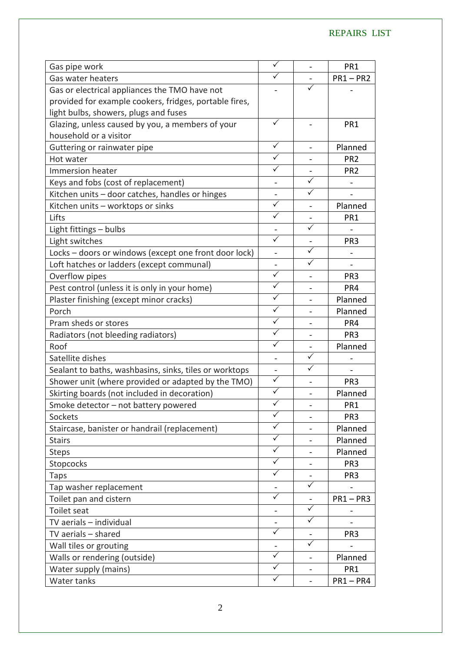## REPAIRS LIST

| Gas pipe work                                          | $\checkmark$                 |                | PR <sub>1</sub>          |
|--------------------------------------------------------|------------------------------|----------------|--------------------------|
| Gas water heaters                                      | $\checkmark$                 |                | $PR1 - PR2$              |
| Gas or electrical appliances the TMO have not          |                              |                |                          |
| provided for example cookers, fridges, portable fires, |                              |                |                          |
| light bulbs, showers, plugs and fuses                  |                              |                |                          |
| Glazing, unless caused by you, a members of your       | $\checkmark$                 |                | PR <sub>1</sub>          |
| household or a visitor                                 |                              |                |                          |
| Guttering or rainwater pipe                            | ✓                            |                | Planned                  |
| Hot water                                              |                              |                | PR <sub>2</sub>          |
| Immersion heater                                       | $\checkmark$                 |                | PR <sub>2</sub>          |
| Keys and fobs (cost of replacement)                    | $\overline{\phantom{0}}$     | $\checkmark$   |                          |
| Kitchen units - door catches, handles or hinges        |                              | $\checkmark$   |                          |
| Kitchen units - worktops or sinks                      | $\checkmark$                 |                | Planned                  |
| Lifts                                                  | $\sqrt{}$                    |                | PR <sub>1</sub>          |
| Light fittings - bulbs                                 |                              | ✓              |                          |
| Light switches                                         | $\checkmark$                 |                | PR <sub>3</sub>          |
| Locks - doors or windows (except one front door lock)  | $\overline{a}$               | $\checkmark$   |                          |
| Loft hatches or ladders (except communal)              |                              | $\sqrt{}$      | $\overline{\phantom{0}}$ |
| Overflow pipes                                         | $\checkmark$                 |                | PR <sub>3</sub>          |
| Pest control (unless it is only in your home)          | $\checkmark$                 |                | PR4                      |
| Plaster finishing (except minor cracks)                | $\overline{\checkmark}$      |                | Planned                  |
| Porch                                                  | $\sqrt{}$                    | $\blacksquare$ | Planned                  |
| Pram sheds or stores                                   | $\checkmark$                 |                | PR4                      |
| Radiators (not bleeding radiators)                     | $\checkmark$                 |                | PR <sub>3</sub>          |
| Roof                                                   | $\overline{\checkmark}$      |                | Planned                  |
| Satellite dishes                                       | $\qquad \qquad \blacksquare$ | $\sqrt{}$      |                          |
| Sealant to baths, washbasins, sinks, tiles or worktops |                              | $\sqrt{}$      |                          |
| Shower unit (where provided or adapted by the TMO)     | $\sqrt{}$                    |                | PR <sub>3</sub>          |
| Skirting boards (not included in decoration)           | $\checkmark$                 |                | Planned                  |
| Smoke detector - not battery powered                   | $\checkmark$                 |                | PR <sub>1</sub>          |
| Sockets                                                | $\sqrt{}$                    |                | PR <sub>3</sub>          |
| Staircase, banister or handrail (replacement)          | $\checkmark$                 |                | Planned                  |
| <b>Stairs</b>                                          | $\checkmark$                 |                | Planned                  |
| <b>Steps</b>                                           | $\checkmark$                 |                | Planned                  |
| Stopcocks                                              | $\checkmark$                 | $\blacksquare$ | PR <sub>3</sub>          |
| Taps                                                   | $\checkmark$                 |                | PR <sub>3</sub>          |
| Tap washer replacement                                 |                              | $\checkmark$   |                          |
| Toilet pan and cistern                                 | $\checkmark$                 |                | $PR1 - PR3$              |
| Toilet seat                                            |                              | $\checkmark$   |                          |
| TV aerials - individual                                |                              | $\checkmark$   |                          |
| TV aerials - shared                                    | $\checkmark$                 |                | PR <sub>3</sub>          |
| Wall tiles or grouting                                 |                              | ✓              |                          |
| Walls or rendering (outside)                           | $\checkmark$                 | $\blacksquare$ | Planned                  |
| Water supply (mains)                                   | $\checkmark$                 |                | PR <sub>1</sub>          |
| Water tanks                                            | ✓                            | -              | $PR1 - PR4$              |